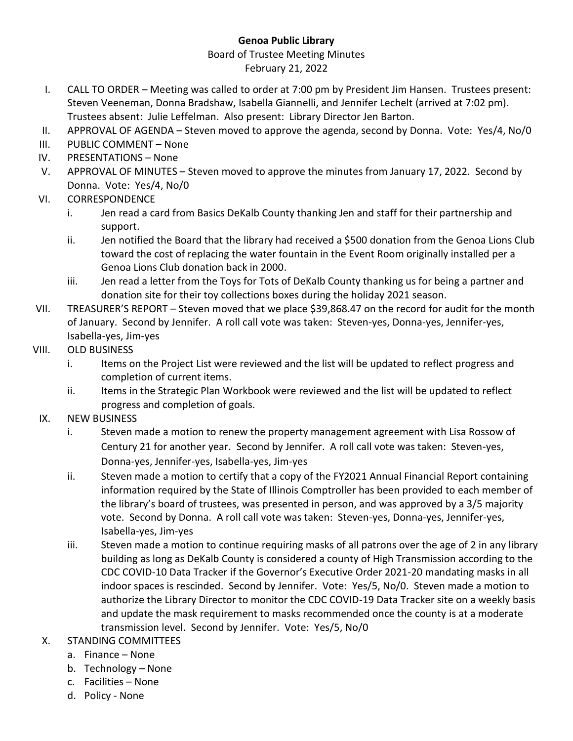## **Genoa Public Library**

## Board of Trustee Meeting Minutes February 21, 2022

- I. CALL TO ORDER Meeting was called to order at 7:00 pm by President Jim Hansen. Trustees present: Steven Veeneman, Donna Bradshaw, Isabella Giannelli, and Jennifer Lechelt (arrived at 7:02 pm). Trustees absent: Julie Leffelman. Also present: Library Director Jen Barton.
- II. APPROVAL OF AGENDA Steven moved to approve the agenda, second by Donna. Vote: Yes/4, No/0
- III. PUBLIC COMMENT None
- IV. PRESENTATIONS None
- V. APPROVAL OF MINUTES Steven moved to approve the minutes from January 17, 2022. Second by Donna. Vote: Yes/4, No/0
- VI. CORRESPONDENCE
	- i. Jen read a card from Basics DeKalb County thanking Jen and staff for their partnership and support.
	- ii. Jen notified the Board that the library had received a \$500 donation from the Genoa Lions Club toward the cost of replacing the water fountain in the Event Room originally installed per a Genoa Lions Club donation back in 2000.
	- iii. Jen read a letter from the Toys for Tots of DeKalb County thanking us for being a partner and donation site for their toy collections boxes during the holiday 2021 season.
- VII. TREASURER'S REPORT Steven moved that we place \$39,868.47 on the record for audit for the month of January. Second by Jennifer. A roll call vote was taken: Steven-yes, Donna-yes, Jennifer-yes, Isabella-yes, Jim-yes
- VIII. OLD BUSINESS
	- i. Items on the Project List were reviewed and the list will be updated to reflect progress and completion of current items.
	- ii. Items in the Strategic Plan Workbook were reviewed and the list will be updated to reflect progress and completion of goals.
- IX. NEW BUSINESS
	- i. Steven made a motion to renew the property management agreement with Lisa Rossow of Century 21 for another year. Second by Jennifer. A roll call vote was taken: Steven-yes, Donna-yes, Jennifer-yes, Isabella-yes, Jim-yes
	- ii. Steven made a motion to certify that a copy of the FY2021 Annual Financial Report containing information required by the State of Illinois Comptroller has been provided to each member of the library's board of trustees, was presented in person, and was approved by a 3/5 majority vote. Second by Donna. A roll call vote was taken: Steven-yes, Donna-yes, Jennifer-yes, Isabella-yes, Jim-yes
	- iii. Steven made a motion to continue requiring masks of all patrons over the age of 2 in any library building as long as DeKalb County is considered a county of High Transmission according to the CDC COVID-10 Data Tracker if the Governor's Executive Order 2021-20 mandating masks in all indoor spaces is rescinded. Second by Jennifer. Vote: Yes/5, No/0. Steven made a motion to authorize the Library Director to monitor the CDC COVID-19 Data Tracker site on a weekly basis and update the mask requirement to masks recommended once the county is at a moderate transmission level. Second by Jennifer. Vote: Yes/5, No/0
- X. STANDING COMMITTEES
	- a. Finance None
	- b. Technology None
	- c. Facilities None
	- d. Policy None